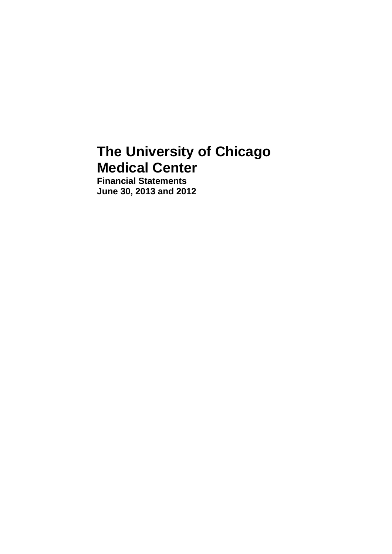# **The University of Chicago Medical Center**

**Financial Statements June 30, 2013 and 2012**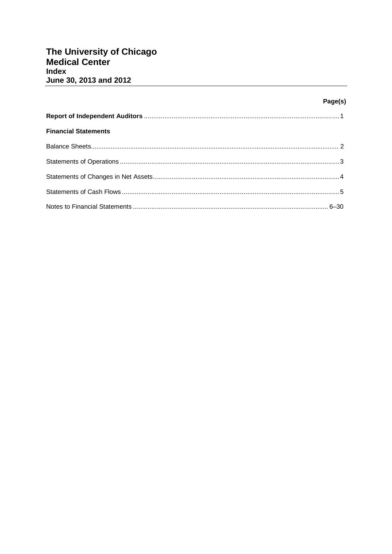## Page(s)

| <b>Financial Statements</b> |  |
|-----------------------------|--|
|                             |  |
|                             |  |
|                             |  |
|                             |  |
|                             |  |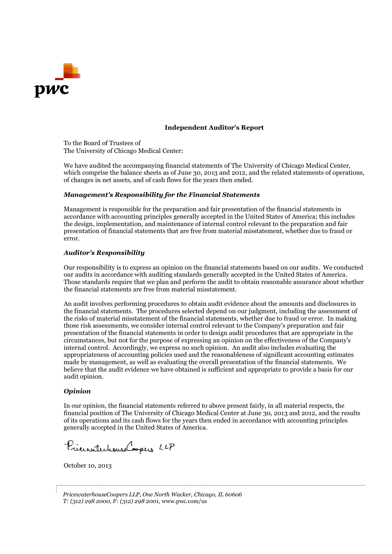

## **Independent Auditor's Report**

To the Board of Trustees of The University of Chicago Medical Center:

We have audited the accompanying financial statements of The University of Chicago Medical Center, which comprise the balance sheets as of June 30, 2013 and 2012, and the related statements of operations, of changes in net assets, and of cash flows for the years then ended.

## *Management's Responsibility for the Financial Statements*

Management is responsible for the preparation and fair presentation of the financial statements in accordance with accounting principles generally accepted in the United States of America; this includes the design, implementation, and maintenance of internal control relevant to the preparation and fair presentation of financial statements that are free from material misstatement, whether due to fraud or error.

## *Auditor's Responsibility*

Our responsibility is to express an opinion on the financial statements based on our audits. We conducted our audits in accordance with auditing standards generally accepted in the United States of America. Those standards require that we plan and perform the audit to obtain reasonable assurance about whether the financial statements are free from material misstatement.

An audit involves performing procedures to obtain audit evidence about the amounts and disclosures in the financial statements. The procedures selected depend on our judgment, including the assessment of the risks of material misstatement of the financial statements, whether due to fraud or error. In making those risk assessments, we consider internal control relevant to the Company's preparation and fair presentation of the financial statements in order to design audit procedures that are appropriate in the circumstances, but not for the purpose of expressing an opinion on the effectiveness of the Company's internal control. Accordingly, we express no such opinion. An audit also includes evaluating the appropriateness of accounting policies used and the reasonableness of significant accounting estimates made by management, as well as evaluating the overall presentation of the financial statements. We believe that the audit evidence we have obtained is sufficient and appropriate to provide a basis for our audit opinion.

## *Opinion*

In our opinion, the financial statements referred to above present fairly, in all material respects, the financial position of The University of Chicago Medical Center at June 30, 2013 and 2012, and the results of its operations and its cash flows for the years then ended in accordance with accounting principles generally accepted in the United States of America.

Principalent buschopers LLP

October 10, 2013

*PricewaterhouseCoopers LLP, One North Wacker, Chicago, IL 60606 T: (312) 298 2000, F: (312) 298 2001,* www.pwc.com/us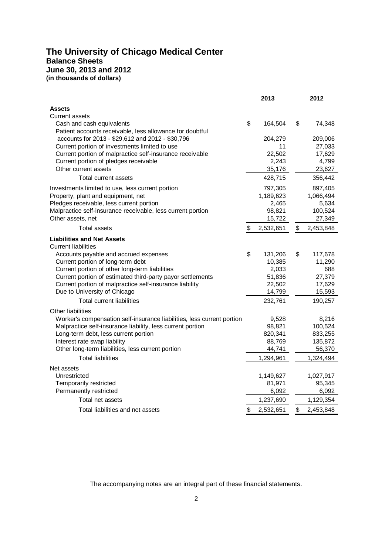## **The University of Chicago Medical Center Balance Sheets June 30, 2013 and 2012 (in thousands of dollars)**

|                                                                                                                       |               | 2013             | 2012             |
|-----------------------------------------------------------------------------------------------------------------------|---------------|------------------|------------------|
| <b>Assets</b>                                                                                                         |               |                  |                  |
| <b>Current assets</b>                                                                                                 |               |                  |                  |
| Cash and cash equivalents                                                                                             | \$            | 164,504          | \$<br>74,348     |
| Patient accounts receivable, less allowance for doubtful                                                              |               |                  |                  |
| accounts for 2013 - \$29,612 and 2012 - \$30,796                                                                      |               | 204,279          | 209,006          |
| Current portion of investments limited to use                                                                         |               | 11               | 27,033           |
| Current portion of malpractice self-insurance receivable                                                              |               | 22,502           | 17,629           |
| Current portion of pledges receivable                                                                                 |               | 2,243            | 4,799            |
| Other current assets                                                                                                  |               | 35,176           | 23,627           |
| Total current assets                                                                                                  |               | 428,715          | 356,442          |
| Investments limited to use, less current portion                                                                      |               | 797,305          | 897,405          |
| Property, plant and equipment, net                                                                                    |               | 1,189,623        | 1,066,494        |
| Pledges receivable, less current portion                                                                              |               | 2,465            | 5,634            |
| Malpractice self-insurance receivable, less current portion                                                           |               | 98,821           | 100,524          |
| Other assets, net                                                                                                     |               | 15,722           | 27,349           |
| <b>Total assets</b>                                                                                                   | $\mathsf{\$}$ | 2,532,651        | \$<br>2,453,848  |
| <b>Liabilities and Net Assets</b>                                                                                     |               |                  |                  |
| <b>Current liabilities</b>                                                                                            |               |                  |                  |
| Accounts payable and accrued expenses                                                                                 | \$            | 131,206          | \$<br>117,678    |
| Current portion of long-term debt                                                                                     |               | 10,385           | 11,290           |
| Current portion of other long-term liabilities                                                                        |               | 2,033            | 688              |
| Current portion of estimated third-party payor settlements<br>Current portion of malpractice self-insurance liability |               | 51,836<br>22,502 | 27,379<br>17,629 |
| Due to University of Chicago                                                                                          |               | 14,799           | 15,593           |
| <b>Total current liabilities</b>                                                                                      |               | 232,761          | 190,257          |
|                                                                                                                       |               |                  |                  |
| Other liabilities<br>Worker's compensation self-insurance liabilities, less current portion                           |               | 9,528            | 8,216            |
| Malpractice self-insurance liability, less current portion                                                            |               | 98,821           | 100,524          |
| Long-term debt, less current portion                                                                                  |               | 820,341          | 833,255          |
| Interest rate swap liability                                                                                          |               | 88,769           | 135,872          |
| Other long-term liabilities, less current portion                                                                     |               | 44,741           | 56,370           |
| <b>Total liabilities</b>                                                                                              |               | 1,294,961        | 1,324,494        |
| Net assets                                                                                                            |               |                  |                  |
| Unrestricted                                                                                                          |               | 1,149,627        | 1,027,917        |
| Temporarily restricted                                                                                                |               | 81,971           | 95,345           |
| Permanently restricted                                                                                                |               | 6,092            | 6,092            |
| Total net assets                                                                                                      |               | 1,237,690        | 1,129,354        |
| Total liabilities and net assets                                                                                      | \$            | 2,532,651        | \$<br>2,453,848  |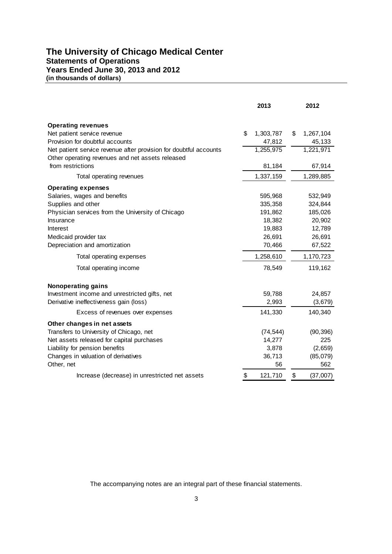## **The University of Chicago Medical Center Statements of Operations Years Ended June 30, 2013 and 2012 (in thousands of dollars)**

|                                                                                                                       | 2013            | 2012            |
|-----------------------------------------------------------------------------------------------------------------------|-----------------|-----------------|
|                                                                                                                       |                 |                 |
| <b>Operating revenues</b>                                                                                             |                 |                 |
| Net patient service revenue                                                                                           | \$<br>1,303,787 | \$<br>1,267,104 |
| Provision for doubtful accounts                                                                                       | 47,812          | 45,133          |
| Net patient service revenue after provision for doubtful accounts<br>Other operating revenues and net assets released | 1,255,975       | 1,221,971       |
| from restrictions                                                                                                     | 81,184          | 67,914          |
| Total operating revenues                                                                                              | 1,337,159       | 1,289,885       |
| <b>Operating expenses</b>                                                                                             |                 |                 |
| Salaries, wages and benefits                                                                                          | 595,968         | 532,949         |
| Supplies and other                                                                                                    | 335,358         | 324,844         |
| Physician services from the University of Chicago                                                                     | 191,862         | 185,026         |
| Insurance                                                                                                             | 18,382          | 20,902          |
| Interest                                                                                                              | 19,883          | 12,789          |
| Medicaid provider tax                                                                                                 | 26,691          | 26,691          |
| Depreciation and amortization                                                                                         | 70,466          | 67,522          |
| Total operating expenses                                                                                              | 1,258,610       | 1,170,723       |
| Total operating income                                                                                                | 78,549          | 119,162         |
| <b>Nonoperating gains</b>                                                                                             |                 |                 |
| Investment income and unrestricted gifts, net                                                                         | 59,788          | 24,857          |
| Derivative ineffectiveness gain (loss)                                                                                | 2,993           | (3,679)         |
| Excess of revenues over expenses                                                                                      | 141,330         | 140,340         |
| Other changes in net assets                                                                                           |                 |                 |
| Transfers to University of Chicago, net                                                                               | (74, 544)       | (90, 396)       |
| Net assets released for capital purchases                                                                             | 14,277          | 225             |
| Liability for pension benefits                                                                                        | 3,878           | (2,659)         |
| Changes in valuation of derivatives                                                                                   | 36,713          | (85,079)        |
| Other, net                                                                                                            | 56              | 562             |
| Increase (decrease) in unrestricted net assets                                                                        | \$<br>121,710   | \$<br>(37,007)  |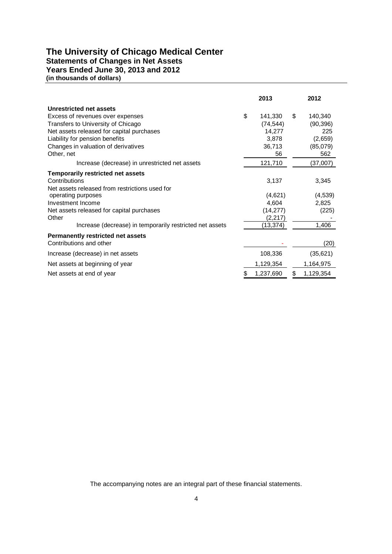## **The University of Chicago Medical Center**

**Statements of Changes in Net Assets**

**Years Ended June 30, 2013 and 2012**

**(in thousands of dollars)**

|                                                          | 2013            | 2012            |
|----------------------------------------------------------|-----------------|-----------------|
| Unrestricted net assets                                  |                 |                 |
| Excess of revenues over expenses                         | \$<br>141,330   | \$<br>140,340   |
| Transfers to University of Chicago                       | (74, 544)       | (90, 396)       |
| Net assets released for capital purchases                | 14,277          | 225             |
| Liability for pension benefits                           | 3,878           | (2,659)         |
| Changes in valuation of derivatives                      | 36,713          | (85,079)        |
| Other, net                                               | 56              | 562             |
| Increase (decrease) in unrestricted net assets           | 121,710         | (37,007)        |
| <b>Temporarily restricted net assets</b>                 |                 |                 |
| Contributions                                            | 3,137           | 3,345           |
| Net assets released from restrictions used for           |                 |                 |
| operating purposes                                       | (4,621)         | (4,539)         |
| Investment Income                                        | 4,604           | 2,825           |
| Net assets released for capital purchases                | (14, 277)       | (225)           |
| Other                                                    | (2,217)         |                 |
| Increase (decrease) in temporarily restricted net assets | (13, 374)       | 1,406           |
| Permanently restricted net assets                        |                 |                 |
| Contributions and other                                  |                 | (20)            |
| Increase (decrease) in net assets                        | 108,336         | (35,621)        |
| Net assets at beginning of year                          | 1,129,354       | 1,164,975       |
| Net assets at end of year                                | \$<br>1,237,690 | \$<br>1,129,354 |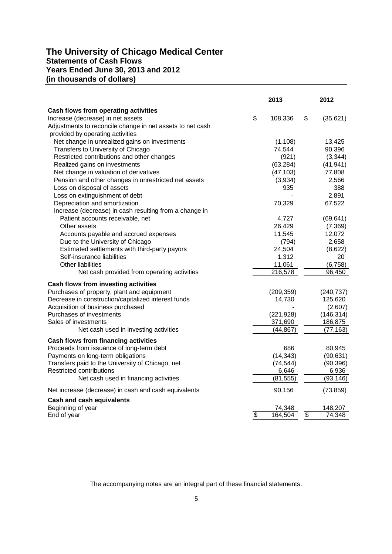## **The University of Chicago Medical Center Statements of Cash Flows Years Ended June 30, 2013 and 2012 (in thousands of dollars)**

|                                                           | 2013          |    | 2012       |
|-----------------------------------------------------------|---------------|----|------------|
| Cash flows from operating activities                      |               |    |            |
| Increase (decrease) in net assets                         | \$<br>108,336 | \$ | (35, 621)  |
| Adjustments to reconcile change in net assets to net cash |               |    |            |
| provided by operating activities                          |               |    |            |
| Net change in unrealized gains on investments             | (1, 108)      |    | 13,425     |
| Transfers to University of Chicago                        | 74,544        |    | 90,396     |
| Restricted contributions and other changes                | (921)         |    | (3, 344)   |
| Realized gains on investments                             | (63, 284)     |    | (41, 941)  |
| Net change in valuation of derivatives                    | (47, 103)     |    | 77,808     |
| Pension and other changes in unrestricted net assets      | (3,934)       |    | 2,566      |
| Loss on disposal of assets                                | 935           |    | 388        |
| Loss on extinguishment of debt                            |               |    | 2,891      |
| Depreciation and amortization                             | 70,329        |    | 67,522     |
| Increase (decrease) in cash resulting from a change in    |               |    |            |
| Patient accounts receivable, net                          | 4,727         |    | (69, 641)  |
| Other assets                                              | 26,429        |    | (7, 369)   |
| Accounts payable and accrued expenses                     | 11,545        |    | 12,072     |
| Due to the University of Chicago                          | (794)         |    | 2,658      |
| Estimated settlements with third-party payors             | 24,504        |    | (8,622)    |
| Self-insurance liabilities                                | 1,312         |    | 20         |
| <b>Other liabilities</b>                                  | 11,061        |    | (6, 758)   |
| Net cash provided from operating activities               | 216,578       |    | 96,450     |
| Cash flows from investing activities                      |               |    |            |
| Purchases of property, plant and equipment                | (209, 359)    |    | (240, 737) |
| Decrease in construction/capitalized interest funds       | 14,730        |    | 125,620    |
| Acquisition of business purchased                         |               |    | (2,607)    |
| Purchases of investments                                  | (221, 928)    |    | (146, 314) |
| Sales of investments                                      | 371,690       |    | 186,875    |
| Net cash used in investing activities                     | (44, 867)     |    | (77, 163)  |
| <b>Cash flows from financing activities</b>               |               |    |            |
| Proceeds from issuance of long-term debt                  | 686           |    | 80,945     |
| Payments on long-term obligations                         | (14, 343)     |    | (90, 631)  |
| Transfers paid to the University of Chicago, net          | (74, 544)     |    | (90, 396)  |
| <b>Restricted contributions</b>                           | 6,646         |    | 6,936      |
| Net cash used in financing activities                     | (81, 555)     |    | (93, 146)  |
| Net increase (decrease) in cash and cash equivalents      | 90,156        |    | (73, 859)  |
| <b>Cash and cash equivalents</b>                          |               |    |            |
| Beginning of year                                         | 74,348        |    | 148,207    |
| End of year                                               | \$<br>164,504 | ङ  | 74,348     |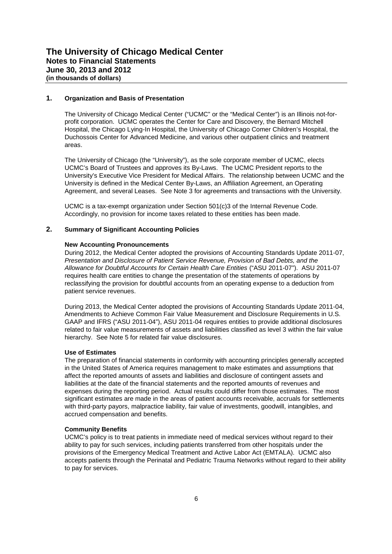## **1. Organization and Basis of Presentation**

The University of Chicago Medical Center ("UCMC" or the "Medical Center") is an Illinois not-forprofit corporation. UCMC operates the Center for Care and Discovery, the Bernard Mitchell Hospital, the Chicago Lying-In Hospital, the University of Chicago Comer Children's Hospital, the Duchossois Center for Advanced Medicine, and various other outpatient clinics and treatment areas.

The University of Chicago (the "University"), as the sole corporate member of UCMC, elects UCMC's Board of Trustees and approves its By-Laws. The UCMC President reports to the University's Executive Vice President for Medical Affairs. The relationship between UCMC and the University is defined in the Medical Center By-Laws, an Affiliation Agreement, an Operating Agreement, and several Leases. See Note 3 for agreements and transactions with the University.

UCMC is a tax-exempt organization under Section 501(c)3 of the Internal Revenue Code. Accordingly, no provision for income taxes related to these entities has been made.

## **2. Summary of Significant Accounting Policies**

#### **New Accounting Pronouncements**

During 2012, the Medical Center adopted the provisions of Accounting Standards Update 2011-07, *Presentation and Disclosure of Patient Service Revenue, Provision of Bad Debts, and the Allowance for Doubtful Accounts for Certain Health Care Entities* ("ASU 2011-07"). ASU 2011-07 requires health care entities to change the presentation of the statements of operations by reclassifying the provision for doubtful accounts from an operating expense to a deduction from patient service revenues.

During 2013, the Medical Center adopted the provisions of Accounting Standards Update 2011-04, Amendments to Achieve Common Fair Value Measurement and Disclosure Requirements in U.S. GAAP and IFRS ("ASU 2011-04"), ASU 2011-04 requires entities to provide additional disclosures related to fair value measurements of assets and liabilities classified as level 3 within the fair value hierarchy. See Note 5 for related fair value disclosures.

#### **Use of Estimates**

The preparation of financial statements in conformity with accounting principles generally accepted in the United States of America requires management to make estimates and assumptions that affect the reported amounts of assets and liabilities and disclosure of contingent assets and liabilities at the date of the financial statements and the reported amounts of revenues and expenses during the reporting period. Actual results could differ from those estimates. The most significant estimates are made in the areas of patient accounts receivable, accruals for settlements with third-party payors, malpractice liability, fair value of investments, goodwill, intangibles, and accrued compensation and benefits.

## **Community Benefits**

UCMC's policy is to treat patients in immediate need of medical services without regard to their ability to pay for such services, including patients transferred from other hospitals under the provisions of the Emergency Medical Treatment and Active Labor Act (EMTALA). UCMC also accepts patients through the Perinatal and Pediatric Trauma Networks without regard to their ability to pay for services.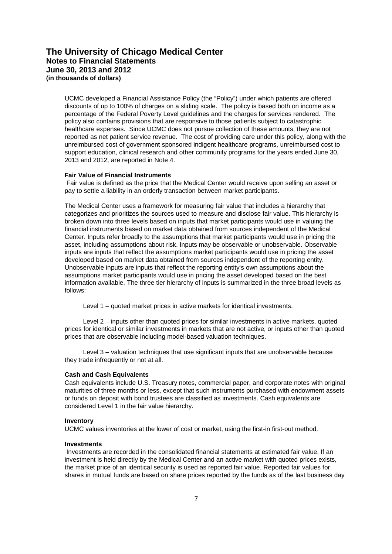UCMC developed a Financial Assistance Policy (the "Policy") under which patients are offered discounts of up to 100% of charges on a sliding scale. The policy is based both on income as a percentage of the Federal Poverty Level guidelines and the charges for services rendered. The policy also contains provisions that are responsive to those patients subject to catastrophic healthcare expenses. Since UCMC does not pursue collection of these amounts, they are not reported as net patient service revenue. The cost of providing care under this policy, along with the unreimbursed cost of government sponsored indigent healthcare programs, unreimbursed cost to support education, clinical research and other community programs for the years ended June 30, 2013 and 2012, are reported in Note 4.

#### **Fair Value of Financial Instruments**

Fair value is defined as the price that the Medical Center would receive upon selling an asset or pay to settle a liability in an orderly transaction between market participants.

The Medical Center uses a framework for measuring fair value that includes a hierarchy that categorizes and prioritizes the sources used to measure and disclose fair value. This hierarchy is broken down into three levels based on inputs that market participants would use in valuing the financial instruments based on market data obtained from sources independent of the Medical Center. Inputs refer broadly to the assumptions that market participants would use in pricing the asset, including assumptions about risk. Inputs may be observable or unobservable. Observable inputs are inputs that reflect the assumptions market participants would use in pricing the asset developed based on market data obtained from sources independent of the reporting entity. Unobservable inputs are inputs that reflect the reporting entity's own assumptions about the assumptions market participants would use in pricing the asset developed based on the best information available. The three tier hierarchy of inputs is summarized in the three broad levels as follows:

Level 1 – quoted market prices in active markets for identical investments.

Level 2 – inputs other than quoted prices for similar investments in active markets, quoted prices for identical or similar investments in markets that are not active, or inputs other than quoted prices that are observable including model-based valuation techniques.

Level 3 – valuation techniques that use significant inputs that are unobservable because they trade infrequently or not at all.

#### **Cash and Cash Equivalents**

Cash equivalents include U.S. Treasury notes, commercial paper, and corporate notes with original maturities of three months or less, except that such instruments purchased with endowment assets or funds on deposit with bond trustees are classified as investments. Cash equivalents are considered Level 1 in the fair value hierarchy.

## **Inventory**

UCMC values inventories at the lower of cost or market, using the first-in first-out method.

## **Investments**

Investments are recorded in the consolidated financial statements at estimated fair value. If an investment is held directly by the Medical Center and an active market with quoted prices exists, the market price of an identical security is used as reported fair value. Reported fair values for shares in mutual funds are based on share prices reported by the funds as of the last business day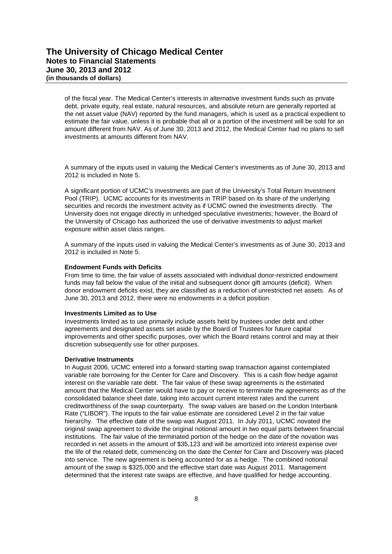of the fiscal year. The Medical Center's interests in alternative investment funds such as private debt, private equity, real estate, natural resources, and absolute return are generally reported at the net asset value (NAV) reported by the fund managers, which is used as a practical expedient to estimate the fair value, unless it is probable that all or a portion of the investment will be sold for an amount different from NAV. As of June 30, 2013 and 2012, the Medical Center had no plans to sell investments at amounts different from NAV.

A summary of the inputs used in valuing the Medical Center's investments as of June 30, 2013 and 2012 is included in Note 5.

A significant portion of UCMC's investments are part of the University's Total Return Investment Pool (TRIP). UCMC accounts for its investments in TRIP based on its share of the underlying securities and records the investment activity as if UCMC owned the investments directly. The University does not engage directly in unhedged speculative investments; however, the Board of the University of Chicago has authorized the use of derivative investments to adjust market exposure within asset class ranges.

A summary of the inputs used in valuing the Medical Center's investments as of June 30, 2013 and 2012 is included in Note 5.

## **Endowment Funds with Deficits**

From time to time, the fair value of assets associated with individual donor-restricted endowment funds may fall below the value of the initial and subsequent donor gift amounts (deficit). When donor endowment deficits exist, they are classified as a reduction of unrestricted net assets. As of June 30, 2013 and 2012, there were no endowments in a deficit position.

## **Investments Limited as to Use**

Investments limited as to use primarily include assets held by trustees under debt and other agreements and designated assets set aside by the Board of Trustees for future capital improvements and other specific purposes, over which the Board retains control and may at their discretion subsequently use for other purposes.

#### **Derivative Instruments**

In August 2006, UCMC entered into a forward starting swap transaction against contemplated variable rate borrowing for the Center for Care and Discovery. This is a cash flow hedge against interest on the variable rate debt. The fair value of these swap agreements is the estimated amount that the Medical Center would have to pay or receive to terminate the agreements as of the consolidated balance sheet date, taking into account current interest rates and the current creditworthiness of the swap counterparty. The swap values are based on the London Interbank Rate ("LIBOR"). The inputs to the fair value estimate are considered Level 2 in the fair value hierarchy. The effective date of the swap was August 2011. In July 2011, UCMC novated the original swap agreement to divide the original notional amount in two equal parts between financial institutions. The fair value of the terminated portion of the hedge on the date of the novation was recorded in net assets in the amount of \$35,123 and will be amortized into interest expense over the life of the related debt, commencing on the date the Center for Care and Discovery was placed into service. The new agreement is being accounted for as a hedge. The combined notional amount of the swap is \$325,000 and the effective start date was August 2011. Management determined that the interest rate swaps are effective, and have qualified for hedge accounting.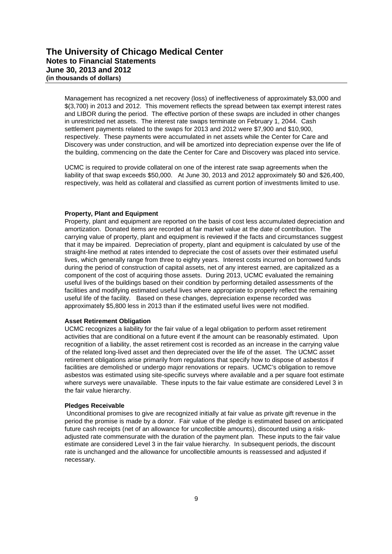Management has recognized a net recovery (loss) of ineffectiveness of approximately \$3,000 and \$(3,700) in 2013 and 2012. This movement reflects the spread between tax exempt interest rates and LIBOR during the period. The effective portion of these swaps are included in other changes in unrestricted net assets. The interest rate swaps terminate on February 1, 2044. Cash settlement payments related to the swaps for 2013 and 2012 were \$7,900 and \$10,900, respectively. These payments were accumulated in net assets while the Center for Care and Discovery was under construction, and will be amortized into depreciation expense over the life of the building, commencing on the date the Center for Care and Discovery was placed into service.

UCMC is required to provide collateral on one of the interest rate swap agreements when the liability of that swap exceeds \$50,000. At June 30, 2013 and 2012 approximately \$0 and \$26,400, respectively, was held as collateral and classified as current portion of investments limited to use.

## **Property, Plant and Equipment**

Property, plant and equipment are reported on the basis of cost less accumulated depreciation and amortization. Donated items are recorded at fair market value at the date of contribution. The carrying value of property, plant and equipment is reviewed if the facts and circumstances suggest that it may be impaired. Depreciation of property, plant and equipment is calculated by use of the straight-line method at rates intended to depreciate the cost of assets over their estimated useful lives, which generally range from three to eighty years. Interest costs incurred on borrowed funds during the period of construction of capital assets, net of any interest earned, are capitalized as a component of the cost of acquiring those assets. During 2013, UCMC evaluated the remaining useful lives of the buildings based on their condition by performing detailed assessments of the facilities and modifying estimated useful lives where appropriate to properly reflect the remaining useful life of the facility. Based on these changes, depreciation expense recorded was approximately \$5,800 less in 2013 than if the estimated useful lives were not modified.

## **Asset Retirement Obligation**

UCMC recognizes a liability for the fair value of a legal obligation to perform asset retirement activities that are conditional on a future event if the amount can be reasonably estimated. Upon recognition of a liability, the asset retirement cost is recorded as an increase in the carrying value of the related long-lived asset and then depreciated over the life of the asset. The UCMC asset retirement obligations arise primarily from regulations that specify how to dispose of asbestos if facilities are demolished or undergo major renovations or repairs. UCMC's obligation to remove asbestos was estimated using site-specific surveys where available and a per square foot estimate where surveys were unavailable. These inputs to the fair value estimate are considered Level 3 in the fair value hierarchy.

## **Pledges Receivable**

Unconditional promises to give are recognized initially at fair value as private gift revenue in the period the promise is made by a donor. Fair value of the pledge is estimated based on anticipated future cash receipts (net of an allowance for uncollectible amounts), discounted using a riskadjusted rate commensurate with the duration of the payment plan. These inputs to the fair value estimate are considered Level 3 in the fair value hierarchy. In subsequent periods, the discount rate is unchanged and the allowance for uncollectible amounts is reassessed and adjusted if necessary.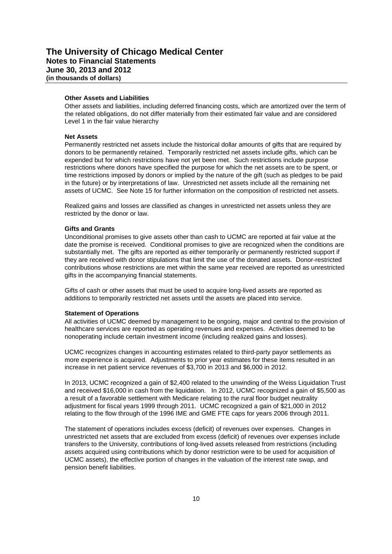## **Other Assets and Liabilities**

Other assets and liabilities, including deferred financing costs, which are amortized over the term of the related obligations, do not differ materially from their estimated fair value and are considered Level 1 in the fair value hierarchy

## **Net Assets**

Permanently restricted net assets include the historical dollar amounts of gifts that are required by donors to be permanently retained. Temporarily restricted net assets include gifts, which can be expended but for which restrictions have not yet been met. Such restrictions include purpose restrictions where donors have specified the purpose for which the net assets are to be spent, or time restrictions imposed by donors or implied by the nature of the gift (such as pledges to be paid in the future) or by interpretations of law. Unrestricted net assets include all the remaining net assets of UCMC. See Note 15 for further information on the composition of restricted net assets.

Realized gains and losses are classified as changes in unrestricted net assets unless they are restricted by the donor or law.

## **Gifts and Grants**

Unconditional promises to give assets other than cash to UCMC are reported at fair value at the date the promise is received. Conditional promises to give are recognized when the conditions are substantially met. The gifts are reported as either temporarily or permanently restricted support if they are received with donor stipulations that limit the use of the donated assets. Donor-restricted contributions whose restrictions are met within the same year received are reported as unrestricted gifts in the accompanying financial statements.

Gifts of cash or other assets that must be used to acquire long-lived assets are reported as additions to temporarily restricted net assets until the assets are placed into service.

## **Statement of Operations**

All activities of UCMC deemed by management to be ongoing, major and central to the provision of healthcare services are reported as operating revenues and expenses. Activities deemed to be nonoperating include certain investment income (including realized gains and losses).

UCMC recognizes changes in accounting estimates related to third-party payor settlements as more experience is acquired. Adjustments to prior year estimates for these items resulted in an increase in net patient service revenues of \$3,700 in 2013 and \$6,000 in 2012.

In 2013, UCMC recognized a gain of \$2,400 related to the unwinding of the Weiss Liquidation Trust and received \$16,000 in cash from the liquidation. In 2012, UCMC recognized a gain of \$5,500 as a result of a favorable settlement with Medicare relating to the rural floor budget neutrality adjustment for fiscal years 1999 through 2011. UCMC recognized a gain of \$21,000 in 2012 relating to the flow through of the 1996 IME and GME FTE caps for years 2006 through 2011.

The statement of operations includes excess (deficit) of revenues over expenses. Changes in unrestricted net assets that are excluded from excess (deficit) of revenues over expenses include transfers to the University, contributions of long-lived assets released from restrictions (including assets acquired using contributions which by donor restriction were to be used for acquisition of UCMC assets), the effective portion of changes in the valuation of the interest rate swap, and pension benefit liabilities.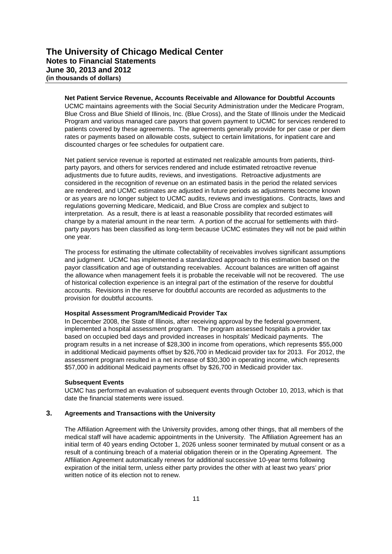## **Net Patient Service Revenue, Accounts Receivable and Allowance for Doubtful Accounts**

UCMC maintains agreements with the Social Security Administration under the Medicare Program, Blue Cross and Blue Shield of Illinois, Inc. (Blue Cross), and the State of Illinois under the Medicaid Program and various managed care payors that govern payment to UCMC for services rendered to patients covered by these agreements. The agreements generally provide for per case or per diem rates or payments based on allowable costs, subject to certain limitations, for inpatient care and discounted charges or fee schedules for outpatient care.

Net patient service revenue is reported at estimated net realizable amounts from patients, thirdparty payors, and others for services rendered and include estimated retroactive revenue adjustments due to future audits, reviews, and investigations. Retroactive adjustments are considered in the recognition of revenue on an estimated basis in the period the related services are rendered, and UCMC estimates are adjusted in future periods as adjustments become known or as years are no longer subject to UCMC audits, reviews and investigations. Contracts, laws and regulations governing Medicare, Medicaid, and Blue Cross are complex and subject to interpretation. As a result, there is at least a reasonable possibility that recorded estimates will change by a material amount in the near term. A portion of the accrual for settlements with thirdparty payors has been classified as long-term because UCMC estimates they will not be paid within one year.

The process for estimating the ultimate collectability of receivables involves significant assumptions and judgment. UCMC has implemented a standardized approach to this estimation based on the payor classification and age of outstanding receivables. Account balances are written off against the allowance when management feels it is probable the receivable will not be recovered. The use of historical collection experience is an integral part of the estimation of the reserve for doubtful accounts. Revisions in the reserve for doubtful accounts are recorded as adjustments to the provision for doubtful accounts.

## **Hospital Assessment Program/Medicaid Provider Tax**

In December 2008, the State of Illinois, after receiving approval by the federal government, implemented a hospital assessment program. The program assessed hospitals a provider tax based on occupied bed days and provided increases in hospitals' Medicaid payments. The program results in a net increase of \$28,300 in income from operations, which represents \$55,000 in additional Medicaid payments offset by \$26,700 in Medicaid provider tax for 2013. For 2012, the assessment program resulted in a net increase of \$30,300 in operating income, which represents \$57,000 in additional Medicaid payments offset by \$26,700 in Medicaid provider tax.

#### **Subsequent Events**

UCMC has performed an evaluation of subsequent events through October 10, 2013, which is that date the financial statements were issued.

## **3. Agreements and Transactions with the University**

The Affiliation Agreement with the University provides, among other things, that all members of the medical staff will have academic appointments in the University. The Affiliation Agreement has an initial term of 40 years ending October 1, 2026 unless sooner terminated by mutual consent or as a result of a continuing breach of a material obligation therein or in the Operating Agreement. The Affiliation Agreement automatically renews for additional successive 10-year terms following expiration of the initial term, unless either party provides the other with at least two years' prior written notice of its election not to renew.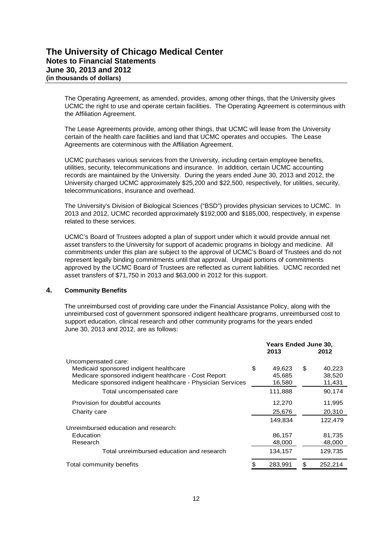The Operating Agreement, as amended, provides, among other things, that the University gives UCMC the right to use and operate certain facilities. The Operating Agreement is coterminous with the Affiliation Agreement.

The Lease Agreements provide, among other things, that UCMC will lease from the University certain of the health care facilities and land that UCMC operates and occupies. The Lease Agreements are coterminous with the Affiliation Agreement.

UCMC purchases various services from the University, including certain employee benefits, utilities, security, telecommunications and insurance. In addition, certain UCMC accounting records are maintained by the University. During the years ended June 30, 2013 and 2012, the University charged UCMC approximately \$25,200 and \$22,500, respectively, for utilities, security, telecommunications, insurance and overhead.

The University's Division of Biological Sciences ("BSD") provides physician services to UCMC. In 2013 and 2012, UCMC recorded approximately \$192,000 and \$185,000, respectively, in expense related to these services.

UCMC's Board of Trustees adopted a plan of support under which it would provide annual net asset transfers to the University for support of academic programs in biology and medicine. All commitments under this plan are subject to the approval of UCMC's Board of Trustees and do not represent legally binding commitments until that approval. Unpaid portions of commitments approved by the UCMC Board of Trustees are reflected as current liabilities. UCMC recorded net asset transfers of \$71,750 in 2013 and \$63,000 in 2012 for this support.

## **4. Community Benefits**

The unreimbursed cost of providing care under the Financial Assistance Policy, along with the unreimbursed cost of government sponsored indigent healthcare programs, unreimbursed cost to support education, clinical research and other community programs for the years ended June 30, 2013 and 2012, are as follows:

|                                                             |    | <b>Years Ended June 30,</b><br>2013<br>2012 |    |         |  |  |
|-------------------------------------------------------------|----|---------------------------------------------|----|---------|--|--|
| Uncompensated care:                                         |    |                                             |    |         |  |  |
| Medicaid sponsored indigent healthcare                      | \$ | 49,623                                      | \$ | 40,223  |  |  |
| Medicare sponsored indigent healthcare - Cost Report        |    | 45,685                                      |    | 38,520  |  |  |
| Medicare sponsored indigent healthcare - Physician Services |    | 16,580                                      |    | 11,431  |  |  |
| Total uncompensated care                                    |    | 111,888                                     |    | 90,174  |  |  |
| Provision for doubtful accounts                             |    | 12,270                                      |    | 11,995  |  |  |
| Charity care                                                |    | 25,676                                      |    | 20,310  |  |  |
|                                                             |    | 149,834                                     |    | 122,479 |  |  |
| Unreimbursed education and research:                        |    |                                             |    |         |  |  |
| Education                                                   |    | 86,157                                      |    | 81,735  |  |  |
| Research                                                    |    | 48,000                                      |    | 48,000  |  |  |
| Total unreimbursed education and research                   |    | 134,157                                     |    | 129,735 |  |  |
| Total community benefits                                    | S  | 283,991                                     | S  | 252,214 |  |  |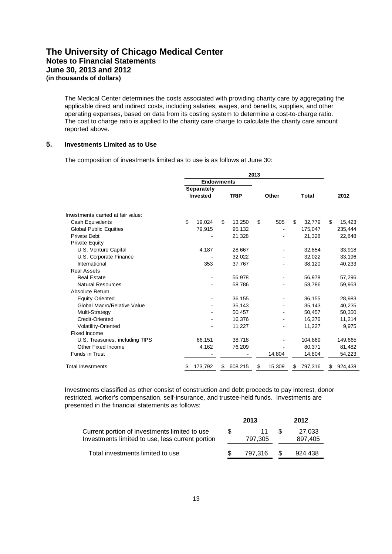The Medical Center determines the costs associated with providing charity care by aggregating the applicable direct and indirect costs, including salaries, wages, and benefits, supplies, and other operating expenses, based on data from its costing system to determine a cost-to-charge ratio. The cost to charge ratio is applied to the charity care charge to calculate the charity care amount reported above.

## **5. Investments Limited as to Use**

The composition of investments limited as to use is as follows at June 30:

|                                    |                   |    |             | 2013 |        |    |              |              |
|------------------------------------|-------------------|----|-------------|------|--------|----|--------------|--------------|
|                                    | <b>Endowments</b> |    |             |      |        |    |              |              |
|                                    | Separately        |    |             |      |        |    |              |              |
|                                    | Invested          |    | <b>TRIP</b> |      | Other  |    | <b>Total</b> | 2012         |
| Investments carried at fair value: |                   |    |             |      |        |    |              |              |
| Cash Equivalents                   | \$<br>19,024      | \$ | 13,250      | \$   | 505    | \$ | 32,779       | \$<br>15,423 |
| <b>Global Public Equities</b>      | 79,915            |    | 95,132      |      |        |    | 175,047      | 235,444      |
| <b>Private Debt</b>                |                   |    | 21,328      |      |        |    | 21,328       | 22,848       |
| <b>Private Equity</b>              |                   |    |             |      |        |    |              |              |
| U.S. Venture Capital               | 4,187             |    | 28,667      |      |        |    | 32,854       | 33,918       |
| U.S. Corporate Finance             |                   |    | 32,022      |      |        |    | 32,022       | 33,196       |
| International                      | 353               |    | 37,767      |      |        |    | 38,120       | 40,233       |
| <b>Real Assets</b>                 |                   |    |             |      |        |    |              |              |
| <b>Real Estate</b>                 |                   |    | 56,978      |      |        |    | 56,978       | 57,296       |
| <b>Natural Resources</b>           |                   |    | 58,786      |      |        |    | 58,786       | 59,953       |
| Absolute Return                    |                   |    |             |      |        |    |              |              |
| <b>Equity Oriented</b>             |                   |    | 36,155      |      |        |    | 36,155       | 28,983       |
| Global Macro/Relative Value        |                   |    | 35,143      |      |        |    | 35,143       | 40,235       |
| Multi-Strategy                     |                   |    | 50,457      |      |        |    | 50,457       | 50,350       |
| Credit-Oriented                    |                   |    | 16,376      |      |        |    | 16,376       | 11,214       |
| Volatility-Oriented                |                   |    | 11,227      |      |        |    | 11,227       | 9,975        |
| Fixed Income                       |                   |    |             |      |        |    |              |              |
| U.S. Treasuries, including TIPS    | 66,151            |    | 38,718      |      |        |    | 104,869      | 149,665      |
| Other Fixed Income                 | 4,162             |    | 76,209      |      |        |    | 80,371       | 81,482       |
| Funds in Trust                     |                   |    |             |      | 14,804 |    | 14,804       | 54,223       |
| <b>Total Investments</b>           | \$<br>173,792     | S  | 608,215     | S    | 15,309 | S  | 797,316      | 924,438      |

Investments classified as other consist of construction and debt proceeds to pay interest, donor restricted, worker's compensation, self-insurance, and trustee-held funds. Investments are presented in the financial statements as follows:

|                                                                                                   |     | 2013          |      | 2012              |  |  |
|---------------------------------------------------------------------------------------------------|-----|---------------|------|-------------------|--|--|
| Current portion of investments limited to use<br>Investments limited to use, less current portion | SS. | 11<br>797,305 | - 56 | 27.033<br>897,405 |  |  |
| Total investments limited to use                                                                  |     | 797.316       |      | 924.438           |  |  |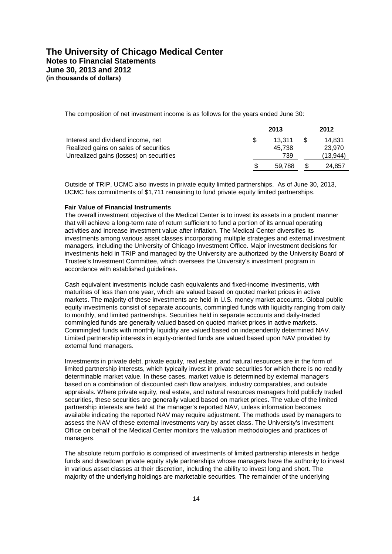The composition of net investment income is as follows for the years ended June 30:

|                                         |   | 2013   |    | 2012     |
|-----------------------------------------|---|--------|----|----------|
| Interest and dividend income, net       |   | 13.311 | S. | 14.831   |
| Realized gains on sales of securities   |   | 45.738 |    | 23,970   |
| Unrealized gains (losses) on securities |   | 739    |    | (13.944) |
|                                         | S | 59.788 |    | 24.857   |

Outside of TRIP, UCMC also invests in private equity limited partnerships. As of June 30, 2013, UCMC has commitments of \$1,711 remaining to fund private equity limited partnerships.

## **Fair Value of Financial Instruments**

The overall investment objective of the Medical Center is to invest its assets in a prudent manner that will achieve a long-term rate of return sufficient to fund a portion of its annual operating activities and increase investment value after inflation. The Medical Center diversifies its investments among various asset classes incorporating multiple strategies and external investment managers, including the University of Chicago Investment Office. Major investment decisions for investments held in TRIP and managed by the University are authorized by the University Board of Trustee's Investment Committee, which oversees the University's investment program in accordance with established guidelines.

Cash equivalent investments include cash equivalents and fixed-income investments, with maturities of less than one year, which are valued based on quoted market prices in active markets. The majority of these investments are held in U.S. money market accounts. Global public equity investments consist of separate accounts, commingled funds with liquidity ranging from daily to monthly, and limited partnerships. Securities held in separate accounts and daily-traded commingled funds are generally valued based on quoted market prices in active markets. Commingled funds with monthly liquidity are valued based on independently determined NAV. Limited partnership interests in equity-oriented funds are valued based upon NAV provided by external fund managers.

Investments in private debt, private equity, real estate, and natural resources are in the form of limited partnership interests, which typically invest in private securities for which there is no readily determinable market value. In these cases, market value is determined by external managers based on a combination of discounted cash flow analysis, industry comparables, and outside appraisals. Where private equity, real estate, and natural resources managers hold publicly traded securities, these securities are generally valued based on market prices. The value of the limited partnership interests are held at the manager's reported NAV, unless information becomes available indicating the reported NAV may require adjustment. The methods used by managers to assess the NAV of these external investments vary by asset class. The University's Investment Office on behalf of the Medical Center monitors the valuation methodologies and practices of managers.

The absolute return portfolio is comprised of investments of limited partnership interests in hedge funds and drawdown private equity style partnerships whose managers have the authority to invest in various asset classes at their discretion, including the ability to invest long and short. The majority of the underlying holdings are marketable securities. The remainder of the underlying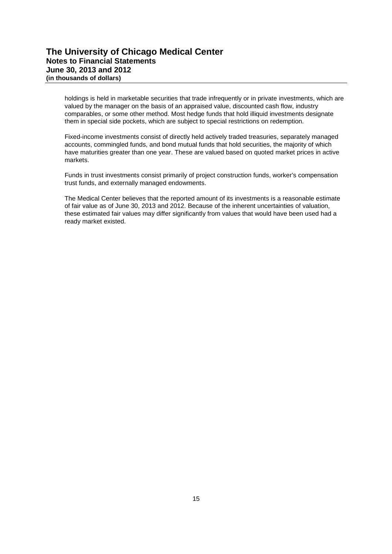holdings is held in marketable securities that trade infrequently or in private investments, which are valued by the manager on the basis of an appraised value, discounted cash flow, industry comparables, or some other method. Most hedge funds that hold illiquid investments designate them in special side pockets, which are subject to special restrictions on redemption.

Fixed-income investments consist of directly held actively traded treasuries, separately managed accounts, commingled funds, and bond mutual funds that hold securities, the majority of which have maturities greater than one year. These are valued based on quoted market prices in active markets.

Funds in trust investments consist primarily of project construction funds, worker's compensation trust funds, and externally managed endowments.

The Medical Center believes that the reported amount of its investments is a reasonable estimate of fair value as of June 30, 2013 and 2012. Because of the inherent uncertainties of valuation, these estimated fair values may differ significantly from values that would have been used had a ready market existed.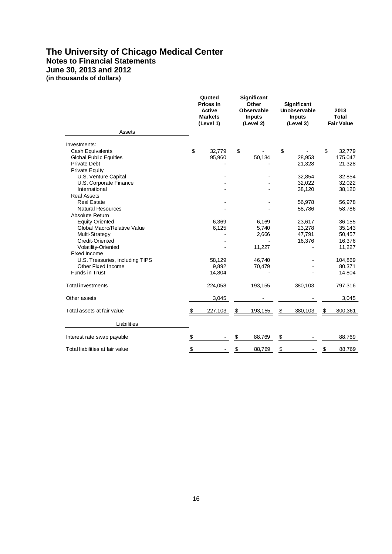|                                 |                   | Quoted<br><b>Significant</b><br>Other<br><b>Prices in</b><br><b>Significant</b><br>Unobservable<br>Active<br>Observable<br><b>Markets</b><br><b>Inputs</b><br><b>Inputs</b><br>(Level 1)<br>(Level 2)<br>(Level 3) |               |         |               |         | 2013<br><b>Total</b><br><b>Fair Value</b> |
|---------------------------------|-------------------|--------------------------------------------------------------------------------------------------------------------------------------------------------------------------------------------------------------------|---------------|---------|---------------|---------|-------------------------------------------|
| Assets                          |                   |                                                                                                                                                                                                                    |               |         |               |         |                                           |
| Investments:                    |                   |                                                                                                                                                                                                                    |               |         |               |         |                                           |
| Cash Equivalents                | \$                | 32,779                                                                                                                                                                                                             | \$            |         | \$            |         | \$<br>32,779                              |
| <b>Global Public Equities</b>   |                   | 95,960                                                                                                                                                                                                             |               | 50,134  |               | 28,953  | 175,047                                   |
| <b>Private Debt</b>             |                   |                                                                                                                                                                                                                    |               |         |               | 21,328  | 21,328                                    |
| <b>Private Equity</b>           |                   |                                                                                                                                                                                                                    |               |         |               |         |                                           |
| U.S. Venture Capital            |                   |                                                                                                                                                                                                                    |               |         |               | 32,854  | 32,854                                    |
| U.S. Corporate Finance          |                   |                                                                                                                                                                                                                    |               |         |               | 32,022  | 32,022                                    |
| International                   |                   |                                                                                                                                                                                                                    |               |         |               | 38,120  | 38,120                                    |
| <b>Real Assets</b>              |                   |                                                                                                                                                                                                                    |               |         |               |         |                                           |
| <b>Real Estate</b>              |                   |                                                                                                                                                                                                                    |               |         |               | 56,978  | 56,978                                    |
| <b>Natural Resources</b>        |                   |                                                                                                                                                                                                                    |               |         |               | 58,786  | 58,786                                    |
| Absolute Return                 |                   |                                                                                                                                                                                                                    |               |         |               |         |                                           |
| <b>Equity Oriented</b>          |                   | 6,369                                                                                                                                                                                                              |               | 6,169   |               | 23,617  | 36,155                                    |
| Global Macro/Relative Value     |                   | 6,125                                                                                                                                                                                                              |               | 5,740   |               | 23,278  | 35,143                                    |
| Multi-Strategy                  |                   |                                                                                                                                                                                                                    |               | 2,666   |               | 47,791  | 50,457                                    |
| Credit-Oriented                 |                   |                                                                                                                                                                                                                    |               |         |               | 16,376  | 16,376                                    |
| Volatility-Oriented             |                   |                                                                                                                                                                                                                    |               | 11,227  |               |         | 11,227                                    |
| Fixed Income                    |                   |                                                                                                                                                                                                                    |               |         |               |         |                                           |
| U.S. Treasuries, including TIPS |                   | 58,129                                                                                                                                                                                                             |               | 46,740  |               |         | 104,869                                   |
| Other Fixed Income              |                   | 9,892                                                                                                                                                                                                              |               | 70,479  |               |         | 80,371                                    |
| Funds in Trust                  |                   | 14,804                                                                                                                                                                                                             |               |         |               |         | 14,804                                    |
| Total investments               |                   | 224,058                                                                                                                                                                                                            |               | 193,155 |               | 380,103 | 797,316                                   |
| Other assets                    |                   | 3,045                                                                                                                                                                                                              |               |         |               |         | 3,045                                     |
| Total assets at fair value      | æ.                | 227,103                                                                                                                                                                                                            | \$            | 193,155 | $\frac{1}{2}$ | 380,103 | \$<br>800,361                             |
| Liabilities                     |                   |                                                                                                                                                                                                                    |               |         |               |         |                                           |
| Interest rate swap payable      | $\frac{1}{2}$     |                                                                                                                                                                                                                    | $\frac{1}{2}$ | 88,769  | $\frac{1}{2}$ |         | 88,769                                    |
|                                 |                   |                                                                                                                                                                                                                    |               |         |               |         |                                           |
| Total liabilities at fair value | $\boldsymbol{\$}$ |                                                                                                                                                                                                                    | \$            | 88,769  | \$            |         | \$<br>88,769                              |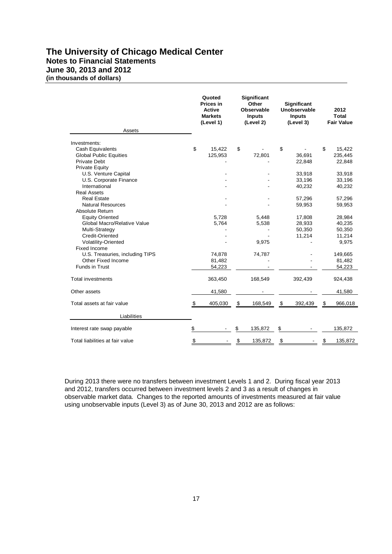|                                 | Quoted<br>Significant<br>Other<br><b>Prices in</b><br><b>Significant</b><br>Observable<br>Unobservable<br>Active<br><b>Inputs</b><br><b>Inputs</b><br><b>Markets</b><br>(Level 2)<br>(Level 3)<br>(Level 1) |    |         |    |                          |               | 2012<br>Total<br><b>Fair Value</b> |
|---------------------------------|-------------------------------------------------------------------------------------------------------------------------------------------------------------------------------------------------------------|----|---------|----|--------------------------|---------------|------------------------------------|
| Assets                          |                                                                                                                                                                                                             |    |         |    |                          |               |                                    |
| Investments:                    |                                                                                                                                                                                                             |    |         |    |                          |               |                                    |
| Cash Equivalents                | \$<br>15,422                                                                                                                                                                                                | \$ |         | \$ | $\overline{\phantom{a}}$ | \$            | 15,422                             |
| <b>Global Public Equities</b>   | 125,953                                                                                                                                                                                                     |    | 72,801  |    | 36,691                   |               | 235,445                            |
| <b>Private Debt</b>             |                                                                                                                                                                                                             |    |         |    | 22,848                   |               | 22,848                             |
| <b>Private Equity</b>           |                                                                                                                                                                                                             |    |         |    |                          |               |                                    |
| U.S. Venture Capital            |                                                                                                                                                                                                             |    |         |    | 33,918                   |               | 33,918                             |
| U.S. Corporate Finance          |                                                                                                                                                                                                             |    |         |    | 33,196                   |               | 33,196                             |
| International                   |                                                                                                                                                                                                             |    |         |    | 40,232                   |               | 40,232                             |
| <b>Real Assets</b>              |                                                                                                                                                                                                             |    |         |    |                          |               |                                    |
| <b>Real Estate</b>              |                                                                                                                                                                                                             |    |         |    | 57,296                   |               | 57,296                             |
| <b>Natural Resources</b>        |                                                                                                                                                                                                             |    |         |    | 59,953                   |               | 59,953                             |
| Absolute Return                 |                                                                                                                                                                                                             |    |         |    |                          |               |                                    |
| <b>Equity Oriented</b>          | 5,728                                                                                                                                                                                                       |    | 5,448   |    | 17,808                   |               | 28,984                             |
| Global Macro/Relative Value     | 5,764                                                                                                                                                                                                       |    | 5,538   |    | 28,933                   |               | 40,235                             |
| Multi-Strategy                  |                                                                                                                                                                                                             |    |         |    | 50,350                   |               | 50,350                             |
| Credit-Oriented                 |                                                                                                                                                                                                             |    |         |    | 11,214                   |               | 11,214                             |
| Volatility-Oriented             |                                                                                                                                                                                                             |    | 9,975   |    |                          |               | 9,975                              |
| <b>Fixed Income</b>             |                                                                                                                                                                                                             |    |         |    |                          |               |                                    |
| U.S. Treasuries, including TIPS | 74,878                                                                                                                                                                                                      |    | 74,787  |    |                          |               | 149,665                            |
| Other Fixed Income              | 81,482                                                                                                                                                                                                      |    |         |    |                          |               | 81,482                             |
| Funds in Trust                  | 54,223                                                                                                                                                                                                      |    |         |    |                          |               | 54,223                             |
| <b>Total investments</b>        | 363,450                                                                                                                                                                                                     |    | 168,549 |    | 392,439                  |               | 924,438                            |
| Other assets                    | 41,580                                                                                                                                                                                                      |    |         |    |                          |               | 41,580                             |
| Total assets at fair value      | \$<br>405,030                                                                                                                                                                                               | \$ | 168,549 | \$ | 392,439                  | \$            | 966,018                            |
| Liabilities                     |                                                                                                                                                                                                             |    |         |    |                          |               |                                    |
| Interest rate swap payable      | \$                                                                                                                                                                                                          | \$ | 135,872 | \$ |                          |               | 135,872                            |
| Total liabilities at fair value | \$                                                                                                                                                                                                          | \$ | 135,872 | \$ |                          | $\frac{1}{2}$ | 135,872                            |

During 2013 there were no transfers between investment Levels 1 and 2. During fiscal year 2013 and 2012, transfers occurred between investment levels 2 and 3 as a result of changes in observable market data. Changes to the reported amounts of investments measured at fair value using unobservable inputs (Level 3) as of June 30, 2013 and 2012 are as follows: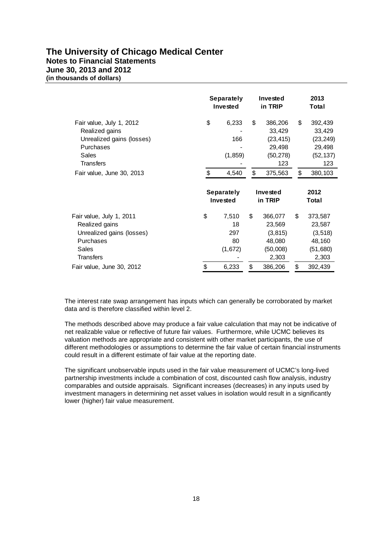|                           |                        | Separately<br>Invested | Invested<br>in TRIP | 2013<br>Total |               |  |
|---------------------------|------------------------|------------------------|---------------------|---------------|---------------|--|
| Fair value, July 1, 2012  | \$                     | 6,233                  | \$<br>386,206       | \$            | 392,439       |  |
| Realized gains            |                        |                        | 33,429              |               | 33,429        |  |
| Unrealized gains (losses) |                        | 166                    | (23, 415)           |               | (23, 249)     |  |
| Purchases                 |                        |                        | 29,498              |               | 29,498        |  |
| Sales                     |                        | (1, 859)               | (50, 278)           |               | (52, 137)     |  |
| <b>Transfers</b>          |                        |                        | 123                 |               | 123           |  |
| Fair value, June 30, 2013 | \$                     | 4,540                  | \$<br>375,563       | \$            | 380,103       |  |
|                           | Separately<br>Invested |                        | Invested<br>in TRIP |               | 2012<br>Total |  |
| Fair value, July 1, 2011  | \$                     | 7,510                  | \$<br>366,077       | \$            | 373,587       |  |
| Realized gains            |                        | 18                     | 23,569              |               | 23,587        |  |
| Unrealized gains (losses) |                        | 297                    | (3, 815)            |               | (3, 518)      |  |
| Purchases                 |                        | 80                     | 48,080              |               | 48,160        |  |
| Sales                     |                        | (1,672)                | (50,008)            |               | (51,680)      |  |
|                           |                        |                        |                     |               |               |  |
| <b>Transfers</b>          |                        |                        | 2,303               |               | 2,303         |  |

The interest rate swap arrangement has inputs which can generally be corroborated by market data and is therefore classified within level 2.

The methods described above may produce a fair value calculation that may not be indicative of net realizable value or reflective of future fair values. Furthermore, while UCMC believes its valuation methods are appropriate and consistent with other market participants, the use of different methodologies or assumptions to determine the fair value of certain financial instruments could result in a different estimate of fair value at the reporting date.

The significant unobservable inputs used in the fair value measurement of UCMC's long-lived partnership investments include a combination of cost, discounted cash flow analysis, industry comparables and outside appraisals. Significant increases (decreases) in any inputs used by investment managers in determining net asset values in isolation would result in a significantly lower (higher) fair value measurement.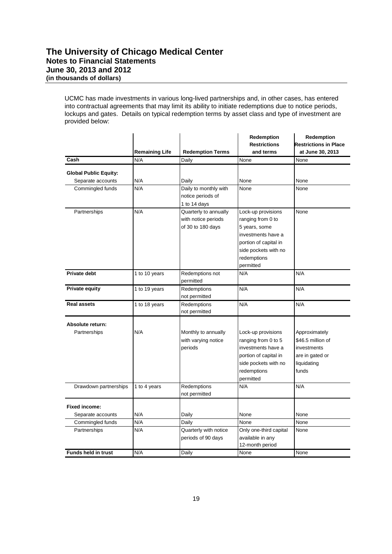UCMC has made investments in various long-lived partnerships and, in other cases, has entered into contractual agreements that may limit its ability to initiate redemptions due to notice periods, lockups and gates. Details on typical redemption terms by asset class and type of investment are provided below:

|                              | <b>Remaining Life</b> | <b>Redemption Terms</b>                                           | Redemption<br><b>Restrictions</b><br>and terms                                                                                                              | Redemption<br><b>Restrictions in Place</b><br>at June 30, 2013                               |
|------------------------------|-----------------------|-------------------------------------------------------------------|-------------------------------------------------------------------------------------------------------------------------------------------------------------|----------------------------------------------------------------------------------------------|
| $\overline{\mathsf{Cash}}$   | N/A                   | Daily                                                             | None                                                                                                                                                        | None                                                                                         |
| <b>Global Public Equity:</b> |                       |                                                                   |                                                                                                                                                             |                                                                                              |
| Separate accounts            | N/A                   | Daily                                                             | None                                                                                                                                                        | None                                                                                         |
| Commingled funds             | N/A                   | Daily to monthly with<br>notice periods of<br>1 to 14 days        | None                                                                                                                                                        | None                                                                                         |
| Partnerships                 | N/A                   | Quarterly to annually<br>with notice periods<br>of 30 to 180 days | Lock-up provisions<br>ranging from 0 to<br>5 years, some<br>investments have a<br>portion of capital in<br>side pockets with no<br>redemptions<br>permitted | None                                                                                         |
| Private debt                 | 1 to 10 years         | Redemptions not<br>permitted                                      | N/A                                                                                                                                                         | N/A                                                                                          |
| <b>Private equity</b>        | 1 to 19 years         | Redemptions<br>not permitted                                      | N/A                                                                                                                                                         | N/A                                                                                          |
| <b>Real assets</b>           | 1 to 18 years         | Redemptions<br>not permitted                                      | N/A                                                                                                                                                         | N/A                                                                                          |
| Absolute return:             |                       |                                                                   |                                                                                                                                                             |                                                                                              |
| Partnerships                 | N/A                   | Monthly to annually<br>with varying notice<br>periods             | Lock-up provisions<br>ranging from 0 to 5<br>investments have a<br>portion of capital in<br>side pockets with no<br>redemptions<br>permitted                | Approximately<br>\$46.5 million of<br>investments<br>are in gated or<br>liquidating<br>funds |
| Drawdown partnerships        | 1 to 4 years          | Redemptions<br>not permitted                                      | N/A                                                                                                                                                         | N/A                                                                                          |
| <b>Fixed income:</b>         |                       |                                                                   |                                                                                                                                                             |                                                                                              |
| Separate accounts            | N/A                   | Daily                                                             | None                                                                                                                                                        | None                                                                                         |
| Commingled funds             | N/A                   | Daily                                                             | None                                                                                                                                                        | None                                                                                         |
| Partnerships                 | N/A                   | Quarterly with notice<br>periods of 90 days                       | Only one-third capital<br>available in any<br>12-month period                                                                                               | None                                                                                         |
| <b>Funds held in trust</b>   | N/A                   | <b>Daily</b>                                                      | None                                                                                                                                                        | None                                                                                         |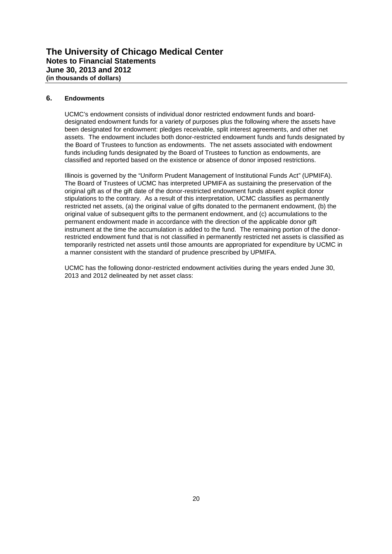## **6. Endowments**

UCMC's endowment consists of individual donor restricted endowment funds and boarddesignated endowment funds for a variety of purposes plus the following where the assets have been designated for endowment: pledges receivable, split interest agreements, and other net assets. The endowment includes both donor-restricted endowment funds and funds designated by the Board of Trustees to function as endowments. The net assets associated with endowment funds including funds designated by the Board of Trustees to function as endowments, are classified and reported based on the existence or absence of donor imposed restrictions.

Illinois is governed by the "Uniform Prudent Management of Institutional Funds Act" (UPMIFA). The Board of Trustees of UCMC has interpreted UPMIFA as sustaining the preservation of the original gift as of the gift date of the donor-restricted endowment funds absent explicit donor stipulations to the contrary. As a result of this interpretation, UCMC classifies as permanently restricted net assets, (a) the original value of gifts donated to the permanent endowment, (b) the original value of subsequent gifts to the permanent endowment, and (c) accumulations to the permanent endowment made in accordance with the direction of the applicable donor gift instrument at the time the accumulation is added to the fund. The remaining portion of the donorrestricted endowment fund that is not classified in permanently restricted net assets is classified as temporarily restricted net assets until those amounts are appropriated for expenditure by UCMC in a manner consistent with the standard of prudence prescribed by UPMIFA.

UCMC has the following donor-restricted endowment activities during the years ended June 30, 2013 and 2012 delineated by net asset class: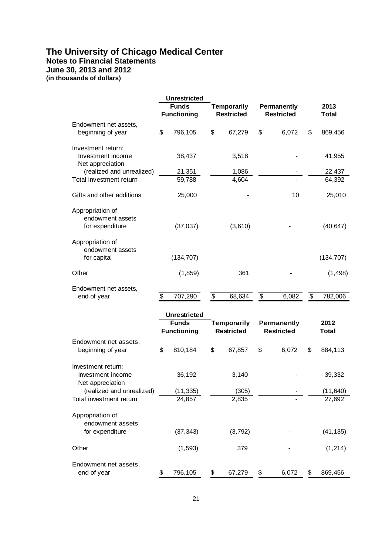## **The University of Chicago Medical Center Notes to Financial Statements June 30, 2013 and 2012**

**(in thousands of dollars)**

|                                                             |                          | <b>Unrestricted</b>                                       |                 |                                         |                                         |                         |                      |
|-------------------------------------------------------------|--------------------------|-----------------------------------------------------------|-----------------|-----------------------------------------|-----------------------------------------|-------------------------|----------------------|
|                                                             |                          | <b>Funds</b><br><b>Functioning</b>                        |                 | <b>Temporarily</b><br><b>Restricted</b> | Permanently<br><b>Restricted</b>        |                         | 2013<br><b>Total</b> |
| Endowment net assets,<br>beginning of year                  | \$                       | 796,105                                                   | \$              | 67,279                                  | \$<br>6,072                             | \$                      | 869,456              |
| Investment return:<br>Investment income<br>Net appreciation |                          | 38,437                                                    |                 | 3,518                                   |                                         |                         | 41,955               |
| (realized and unrealized)<br>Total investment return        |                          | 21,351<br>59,788                                          |                 | 1,086<br>4,604                          |                                         |                         | 22,437<br>64,392     |
| Gifts and other additions                                   |                          | 25,000                                                    |                 |                                         | 10                                      |                         | 25,010               |
| Appropriation of<br>endowment assets<br>for expenditure     |                          | (37,037)                                                  |                 | (3,610)                                 |                                         |                         | (40, 647)            |
| Appropriation of<br>endowment assets<br>for capital         |                          | (134, 707)                                                |                 |                                         |                                         |                         | (134, 707)           |
| Other                                                       |                          | (1, 859)                                                  |                 | 361                                     |                                         |                         | (1,498)              |
| Endowment net assets,<br>end of year                        | $\overline{\mathcal{G}}$ | 707,290                                                   | $\overline{\$}$ | 68,634                                  | \$<br>6,082                             | $\overline{\mathbf{e}}$ | 782,006              |
|                                                             |                          | <b>Unrestricted</b><br><b>Funds</b><br><b>Functioning</b> |                 | <b>Temporarily</b><br><b>Restricted</b> | <b>Permanently</b><br><b>Restricted</b> |                         | 2012<br><b>Total</b> |
| Endowment net assets,<br>beginning of year                  | \$                       | 810,184                                                   | \$              | 67,857                                  | \$<br>6,072                             | \$                      | 884,113              |
| Investment return:<br>Investment income<br>Net appreciation |                          | 36,192                                                    |                 | 3,140                                   |                                         |                         | 39,332               |
| (realized and unrealized)<br>Total investment return        |                          | (11, 335)<br>24,857                                       |                 | (305)<br>2,835                          |                                         |                         | (11, 640)<br>27,692  |
| Appropriation of<br>endowment assets<br>for expenditure     |                          | (37, 343)                                                 |                 | (3,792)                                 |                                         |                         | (41, 135)            |
| Other                                                       |                          | (1,593)                                                   |                 | 379                                     |                                         |                         | (1, 214)             |
| Endowment net assets,<br>end of year                        | \$                       | 796,105                                                   | \$              | 67,279                                  | \$<br>6,072                             | \$                      | 869,456              |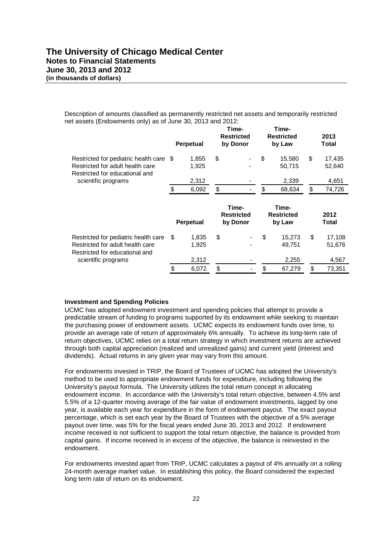Description of amounts classified as permanently restricted net assets and temporarily restricted net assets (Endowments only) as of June 30, 2013 and 2012:

|                                                                                                            |      | <b>Perpetual</b> | Time-<br><b>Restricted</b><br>by Donor | Time-<br><b>Restricted</b><br>by Law | 2013<br>Total          |
|------------------------------------------------------------------------------------------------------------|------|------------------|----------------------------------------|--------------------------------------|------------------------|
| Restricted for pediatric health care<br>Restricted for adult health care<br>Restricted for educational and | - \$ | 1,855<br>1,925   | \$                                     | \$<br>15,580<br>50,715               | \$<br>17,435<br>52,640 |
| scientific programs                                                                                        |      | 2,312            |                                        | 2,339                                | 4,651                  |
|                                                                                                            | \$   | 6,092            | \$                                     | \$<br>68,634                         | \$<br>74,726           |
|                                                                                                            |      |                  |                                        |                                      |                        |
|                                                                                                            |      | <b>Perpetual</b> | Time-<br><b>Restricted</b><br>by Donor | Time-<br><b>Restricted</b><br>by Law | 2012<br>Total          |
| Restricted for pediatric health care<br>Restricted for adult health care<br>Restricted for educational and | \$   | 1,835<br>1,925   | \$                                     | \$<br>15,273<br>49,751               | \$<br>17,108<br>51,676 |
| scientific programs                                                                                        |      | 2,312            |                                        | 2,255                                | 4,567                  |

## **Investment and Spending Policies**

UCMC has adopted endowment investment and spending policies that attempt to provide a predictable stream of funding to programs supported by its endowment while seeking to maintain the purchasing power of endowment assets. UCMC expects its endowment funds over time, to provide an average rate of return of approximately 6% annually. To achieve its long-term rate of return objectives, UCMC relies on a total return strategy in which investment returns are achieved through both capital appreciation (realized and unrealized gains) and current yield (interest and dividends). Actual returns in any given year may vary from this amount.

For endowments invested in TRIP, the Board of Trustees of UCMC has adopted the University's method to be used to appropriate endowment funds for expenditure, including following the University's payout formula. The University utilizes the total return concept in allocating endowment income. In accordance with the University's total return objective, between 4.5% and 5.5% of a 12-quarter moving average of the fair value of endowment investments, lagged by one year, is available each year for expenditure in the form of endowment payout. The exact payout percentage, which is set each year by the Board of Trustees with the objective of a 5% average payout over time, was 5% for the fiscal years ended June 30, 2013 and 2012. If endowment income received is not sufficient to support the total return objective, the balance is provided from capital gains. If income received is in excess of the objective, the balance is reinvested in the endowment.

For endowments invested apart from TRIP, UCMC calculates a payout of 4% annually on a rolling 24-month average market value. In establishing this policy, the Board considered the expected long term rate of return on its endowment.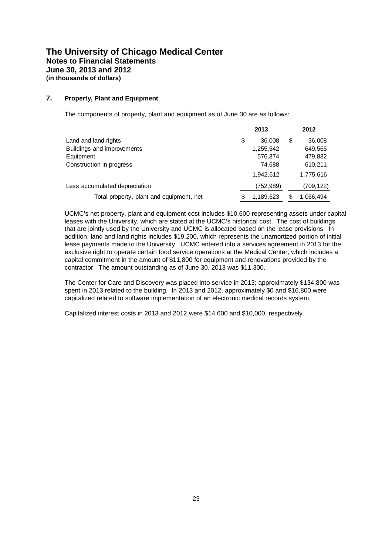## **7. Property, Plant and Equipment**

The components of property, plant and equipment as of June 30 are as follows:

|                                          | 2013            |   | 2012       |
|------------------------------------------|-----------------|---|------------|
| Land and land rights                     | \$<br>36.008    | S | 36,008     |
| Buildings and improvements               | 1,255,542       |   | 649,565    |
| Equipment                                | 576,374         |   | 479,832    |
| Construction in progress                 | 74,688          |   | 610,211    |
|                                          | 1,942,612       |   | 1,775,616  |
| Less accumulated depreciation            | (752,989)       |   | (709, 122) |
| Total property, plant and equipment, net | \$<br>1,189,623 |   | 1,066,494  |

UCMC's net property, plant and equipment cost includes \$10,600 representing assets under capital leases with the University, which are stated at the UCMC's historical cost. The cost of buildings that are jointly used by the University and UCMC is allocated based on the lease provisions. In addition, land and land rights includes \$19,200, which represents the unamortized portion of initial lease payments made to the University. UCMC entered into a services agreement in 2013 for the exclusive right to operate certain food service operations at the Medical Center, which includes a capital commitment in the amount of \$11,800 for equipment and renovations provided by the contractor. The amount outstanding as of June 30, 2013 was \$11,300.

The Center for Care and Discovery was placed into service in 2013; approximately \$134,800 was spent in 2013 related to the building. In 2013 and 2012, approximately \$0 and \$16,800 were capitalized related to software implementation of an electronic medical records system.

Capitalized interest costs in 2013 and 2012 were \$14,600 and \$10,000, respectively.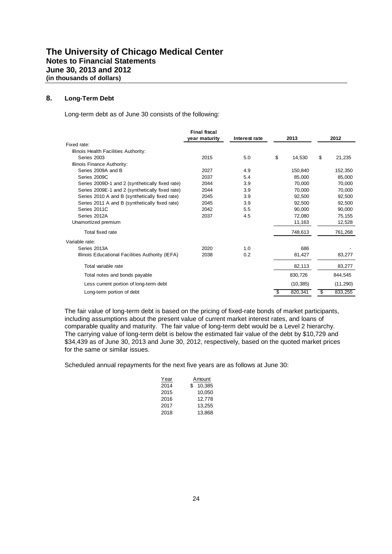## **8. Long-Term Debt**

Long-term debt as of June 30 consists of the following:

|                                                  | <b>Final fiscal</b> |               |              |               |
|--------------------------------------------------|---------------------|---------------|--------------|---------------|
|                                                  | year maturity       | Interest rate | 2013         | 2012          |
| Fixed rate:                                      |                     |               |              |               |
| Illinois Health Facilities Authority:            |                     |               |              |               |
| Series 2003                                      | 2015                | 5.0           | \$<br>14,530 | \$<br>21,235  |
| Illinois Finance Authority:                      |                     |               |              |               |
| Series 2009A and B                               | 2027                | 4.9           | 150,840      | 152,350       |
| Series 2009C                                     | 2037                | 5.4           | 85,000       | 85,000        |
| Series 2009D-1 and 2 (synthetically fixed rate)  | 2044                | 3.9           | 70,000       | 70,000        |
| Series 2009E-1 and 2 (synthetically fixed rate)  | 2044                | 3.9           | 70,000       | 70,000        |
| Series 2010 A and B (synthetically fixed rate)   | 2045                | 3.9           | 92,500       | 92,500        |
| Series 2011 A and B (synthetically fixed rate)   | 2045                | 3.9           | 92,500       | 92,500        |
| Series 2011C                                     | 2042                | 5.5           | 90,000       | 90,000        |
| Series 2012A                                     | 2037                | 4.5           | 72,080       | 75,155        |
| Unamortized premium                              |                     |               | 11,163       | 12,528        |
| Total fixed rate                                 |                     |               | 748,613      | 761,268       |
| Variable rate:                                   |                     |               |              |               |
| Series 2013A                                     | 2020                | 1.0           | 686          |               |
| Illinois Educational Facilities Authority (IEFA) | 2038                | 0.2           | 81,427       | 83,277        |
| Total variable rate                              |                     |               | 82,113       | 83,277        |
| Total notes and bonds payable                    |                     |               | 830,726      | 844.545       |
| Less current portion of long-term debt           |                     |               | (10, 385)    | (11, 290)     |
| Long-term portion of debt                        |                     |               | 820,341      | \$<br>833,255 |

The fair value of long-term debt is based on the pricing of fixed-rate bonds of market participants, including assumptions about the present value of current market interest rates, and loans of comparable quality and maturity. The fair value of long-term debt would be a Level 2 hierarchy. The carrying value of long-term debt is below the estimated fair value of the debt by \$10,729 and \$34,439 as of June 30, 2013 and June 30, 2012, respectively, based on the quoted market prices for the same or similar issues.

Scheduled annual repayments for the next five years are as follows at June 30:

| Year | Amount       |
|------|--------------|
| 2014 | \$<br>10.385 |
| 2015 | 10.050       |
| 2016 | 12.778       |
| 2017 | 13,255       |
| 2018 | 13.868       |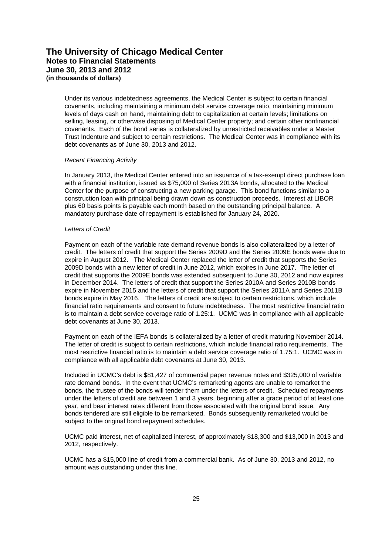Under its various indebtedness agreements, the Medical Center is subject to certain financial covenants, including maintaining a minimum debt service coverage ratio, maintaining minimum levels of days cash on hand, maintaining debt to capitalization at certain levels; limitations on selling, leasing, or otherwise disposing of Medical Center property; and certain other nonfinancial covenants. Each of the bond series is collateralized by unrestricted receivables under a Master Trust Indenture and subject to certain restrictions. The Medical Center was in compliance with its debt covenants as of June 30, 2013 and 2012.

#### *Recent Financing Activity*

In January 2013, the Medical Center entered into an issuance of a tax-exempt direct purchase loan with a financial institution, issued as \$75,000 of Series 2013A bonds, allocated to the Medical Center for the purpose of constructing a new parking garage. This bond functions similar to a construction loan with principal being drawn down as construction proceeds. Interest at LIBOR plus 60 basis points is payable each month based on the outstanding principal balance. A mandatory purchase date of repayment is established for January 24, 2020.

## *Letters of Credit*

Payment on each of the variable rate demand revenue bonds is also collateralized by a letter of credit. The letters of credit that support the Series 2009D and the Series 2009E bonds were due to expire in August 2012. The Medical Center replaced the letter of credit that supports the Series 2009D bonds with a new letter of credit in June 2012, which expires in June 2017. The letter of credit that supports the 2009E bonds was extended subsequent to June 30, 2012 and now expires in December 2014. The letters of credit that support the Series 2010A and Series 2010B bonds expire in November 2015 and the letters of credit that support the Series 2011A and Series 2011B bonds expire in May 2016. The letters of credit are subject to certain restrictions, which include financial ratio requirements and consent to future indebtedness. The most restrictive financial ratio is to maintain a debt service coverage ratio of 1.25:1. UCMC was in compliance with all applicable debt covenants at June 30, 2013.

Payment on each of the IEFA bonds is collateralized by a letter of credit maturing November 2014. The letter of credit is subject to certain restrictions, which include financial ratio requirements. The most restrictive financial ratio is to maintain a debt service coverage ratio of 1.75:1. UCMC was in compliance with all applicable debt covenants at June 30, 2013.

Included in UCMC's debt is \$81,427 of commercial paper revenue notes and \$325,000 of variable rate demand bonds. In the event that UCMC's remarketing agents are unable to remarket the bonds, the trustee of the bonds will tender them under the letters of credit. Scheduled repayments under the letters of credit are between 1 and 3 years, beginning after a grace period of at least one year, and bear interest rates different from those associated with the original bond issue. Any bonds tendered are still eligible to be remarketed. Bonds subsequently remarketed would be subject to the original bond repayment schedules.

UCMC paid interest, net of capitalized interest, of approximately \$18,300 and \$13,000 in 2013 and 2012, respectively.

UCMC has a \$15,000 line of credit from a commercial bank. As of June 30, 2013 and 2012, no amount was outstanding under this line.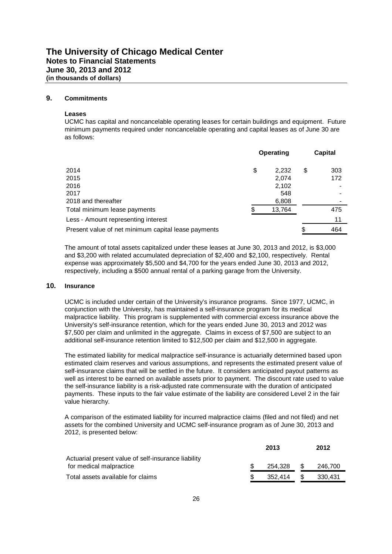## **9. Commitments**

## **Leases**

UCMC has capital and noncancelable operating leases for certain buildings and equipment. Future minimum payments required under noncancelable operating and capital leases as of June 30 are as follows:

|                                                     | Operating   | Capital   |  |
|-----------------------------------------------------|-------------|-----------|--|
| 2014                                                | \$<br>2,232 | \$<br>303 |  |
| 2015                                                | 2,074       | 172       |  |
| 2016                                                | 2,102       |           |  |
| 2017                                                | 548         |           |  |
| 2018 and thereafter                                 | 6,808       |           |  |
| Total minimum lease payments                        | 13,764      | 475       |  |
| Less - Amount representing interest                 |             | 11        |  |
| Present value of net minimum capital lease payments |             | 464       |  |

The amount of total assets capitalized under these leases at June 30, 2013 and 2012, is \$3,000 and \$3,200 with related accumulated depreciation of \$2,400 and \$2,100, respectively. Rental expense was approximately \$5,500 and \$4,700 for the years ended June 30, 2013 and 2012, respectively, including a \$500 annual rental of a parking garage from the University.

## **10. Insurance**

UCMC is included under certain of the University's insurance programs. Since 1977, UCMC, in conjunction with the University, has maintained a self-insurance program for its medical malpractice liability. This program is supplemented with commercial excess insurance above the University's self-insurance retention, which for the years ended June 30, 2013 and 2012 was \$7,500 per claim and unlimited in the aggregate. Claims in excess of \$7,500 are subject to an additional self-insurance retention limited to \$12,500 per claim and \$12,500 in aggregate.

The estimated liability for medical malpractice self-insurance is actuarially determined based upon estimated claim reserves and various assumptions, and represents the estimated present value of self-insurance claims that will be settled in the future. It considers anticipated payout patterns as well as interest to be earned on available assets prior to payment. The discount rate used to value the self-insurance liability is a risk-adjusted rate commensurate with the duration of anticipated payments. These inputs to the fair value estimate of the liability are considered Level 2 in the fair value hierarchy.

A comparison of the estimated liability for incurred malpractice claims (filed and not filed) and net assets for the combined University and UCMC self-insurance program as of June 30, 2013 and 2012, is presented below:

|                                                                                | 2013    |   | 2012    |
|--------------------------------------------------------------------------------|---------|---|---------|
| Actuarial present value of self-insurance liability<br>for medical malpractice | 254.328 | S | 246.700 |
| Total assets available for claims                                              | 352.414 | S | 330.431 |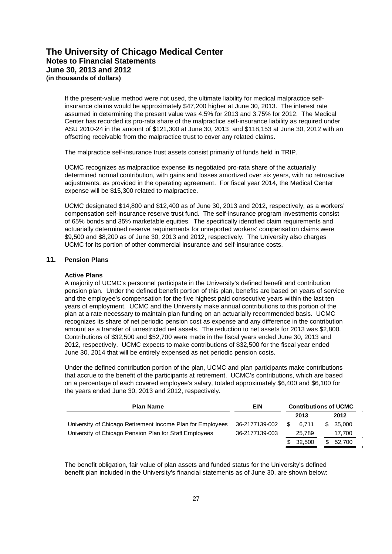If the present-value method were not used, the ultimate liability for medical malpractice selfinsurance claims would be approximately \$47,200 higher at June 30, 2013. The interest rate assumed in determining the present value was 4.5% for 2013 and 3.75% for 2012. The Medical Center has recorded its pro-rata share of the malpractice self-insurance liability as required under ASU 2010-24 in the amount of \$121,300 at June 30, 2013 and \$118,153 at June 30, 2012 with an offsetting receivable from the malpractice trust to cover any related claims.

The malpractice self-insurance trust assets consist primarily of funds held in TRIP.

UCMC recognizes as malpractice expense its negotiated pro-rata share of the actuarially determined normal contribution, with gains and losses amortized over six years, with no retroactive adjustments, as provided in the operating agreement. For fiscal year 2014, the Medical Center expense will be \$15,300 related to malpractice.

UCMC designated \$14,800 and \$12,400 as of June 30, 2013 and 2012, respectively, as a workers' compensation self-insurance reserve trust fund. The self-insurance program investments consist of 65% bonds and 35% marketable equities. The specifically identified claim requirements and actuarially determined reserve requirements for unreported workers' compensation claims were \$9,500 and \$8,200 as of June 30, 2013 and 2012, respectively. The University also charges UCMC for its portion of other commercial insurance and self-insurance costs.

## **11. Pension Plans**

#### **Active Plans**

A majority of UCMC's personnel participate in the University's defined benefit and contribution pension plan. Under the defined benefit portion of this plan, benefits are based on years of service and the employee's compensation for the five highest paid consecutive years within the last ten years of employment. UCMC and the University make annual contributions to this portion of the plan at a rate necessary to maintain plan funding on an actuarially recommended basis. UCMC recognizes its share of net periodic pension cost as expense and any difference in the contribution amount as a transfer of unrestricted net assets. The reduction to net assets for 2013 was \$2,800. Contributions of \$32,500 and \$52,700 were made in the fiscal years ended June 30, 2013 and 2012, respectively. UCMC expects to make contributions of \$32,500 for the fiscal year ended June 30, 2014 that will be entirely expensed as net periodic pension costs.

Under the defined contribution portion of the plan, UCMC and plan participants make contributions that accrue to the benefit of the participants at retirement. UCMC's contributions, which are based on a percentage of each covered employee's salary, totaled approximately \$6,400 and \$6,100 for the years ended June 30, 2013 and 2012, respectively.

| <b>Plan Name</b>                                           | EIN            | <b>Contributions of UCMC</b> |               |  |  |
|------------------------------------------------------------|----------------|------------------------------|---------------|--|--|
|                                                            |                | 2013                         | 2012          |  |  |
| University of Chicago Retirement Income Plan for Employees | 36-2177139-002 | 6.711<br>\$.                 | 35.000<br>\$. |  |  |
| University of Chicago Pension Plan for Staff Employees     | 36-2177139-003 | 25.789                       | 17.700        |  |  |
|                                                            |                | 32.500                       | 52.700<br>\$. |  |  |

 $\mathbf{r}$ 

The benefit obligation, fair value of plan assets and funded status for the University's defined benefit plan included in the University's financial statements as of June 30, are shown below: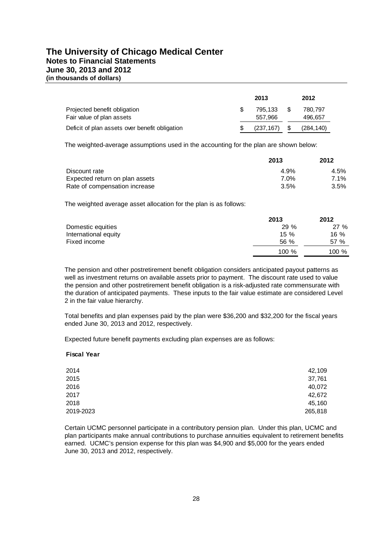|                                                | 2013      | 2012       |
|------------------------------------------------|-----------|------------|
| Projected benefit obligation                   | 795.133   | 780.797    |
| Fair value of plan assets                      | 557.966   | 496,657    |
| Deficit of plan assets over benefit obligation | (237.167) | (284, 140) |

The weighted-average assumptions used in the accounting for the plan are shown below:

|                                | 2013 | 2012    |
|--------------------------------|------|---------|
| Discount rate                  | 4.9% | 4.5%    |
| Expected return on plan assets | 7.0% | 7.1%    |
| Rate of compensation increase  | 3.5% | $3.5\%$ |

The weighted average asset allocation for the plan is as follows:

|                      | 2013   | 2012   |
|----------------------|--------|--------|
| Domestic equities    | 29%    | 27%    |
| International equity | $15\%$ | $16\%$ |
| Fixed income         | 56 %   | 57 %   |
|                      | 100 %  | 100 %  |

The pension and other postretirement benefit obligation considers anticipated payout patterns as well as investment returns on available assets prior to payment. The discount rate used to value the pension and other postretirement benefit obligation is a risk-adjusted rate commensurate with the duration of anticipated payments. These inputs to the fair value estimate are considered Level 2 in the fair value hierarchy.

Total benefits and plan expenses paid by the plan were \$36,200 and \$32,200 for the fiscal years ended June 30, 2013 and 2012, respectively.

Expected future benefit payments excluding plan expenses are as follows:

#### **Fiscal Year**

| 2014      | 42,109  |
|-----------|---------|
| 2015      | 37,761  |
| 2016      | 40,072  |
| 2017      | 42,672  |
| 2018      | 45,160  |
| 2019-2023 | 265,818 |

Certain UCMC personnel participate in a contributory pension plan. Under this plan, UCMC and plan participants make annual contributions to purchase annuities equivalent to retirement benefits earned. UCMC's pension expense for this plan was \$4,900 and \$5,000 for the years ended June 30, 2013 and 2012, respectively.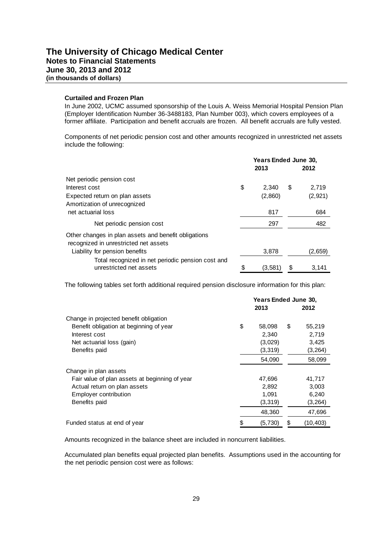## **Curtailed and Frozen Plan**

In June 2002, UCMC assumed sponsorship of the Louis A. Weiss Memorial Hospital Pension Plan (Employer Identification Number 36-3488183, Plan Number 003), which covers employees of a former affiliate. Participation and benefit accruals are frozen. All benefit accruals are fully vested.

Components of net periodic pension cost and other amounts recognized in unrestricted net assets include the following:

|                                                      |    | <b>Years Ended June 30,</b><br>2012 |    |         |
|------------------------------------------------------|----|-------------------------------------|----|---------|
| Net periodic pension cost                            |    |                                     |    |         |
| Interest cost                                        | \$ | 2,340                               | \$ | 2,719   |
| Expected return on plan assets                       |    | (2,860)                             |    | (2,921) |
| Amortization of unrecognized                         |    |                                     |    |         |
| net actuarial loss                                   |    | 817                                 |    | 684     |
| Net periodic pension cost                            |    | 297                                 |    | 482     |
| Other changes in plan assets and benefit obligations |    |                                     |    |         |
| recognized in unrestricted net assets                |    |                                     |    |         |
| Liability for pension benefits                       |    | 3,878                               |    | (2,659) |
| Total recognized in net periodic pension cost and    |    |                                     |    |         |
| unrestricted net assets                              | \$ | (3,581)                             | \$ | 3.141   |

The following tables set forth additional required pension disclosure information for this plan:

|                                                | 2013         | Years Ended June 30,<br>2012 |           |  |
|------------------------------------------------|--------------|------------------------------|-----------|--|
| Change in projected benefit obligation         |              |                              |           |  |
| Benefit obligation at beginning of year        | \$<br>58,098 | \$                           | 55,219    |  |
| Interest cost                                  | 2,340        |                              | 2,719     |  |
| Net actuarial loss (gain)                      | (3,029)      |                              | 3,425     |  |
| Benefits paid                                  | (3,319)      |                              | (3,264)   |  |
|                                                | 54,090       |                              | 58,099    |  |
| Change in plan assets                          |              |                              |           |  |
| Fair value of plan assets at beginning of year | 47,696       |                              | 41,717    |  |
| Actual return on plan assets                   | 2,892        |                              | 3,003     |  |
| Employer contribution                          | 1,091        |                              | 6,240     |  |
| Benefits paid                                  | (3, 319)     |                              | (3,264)   |  |
|                                                | 48,360       |                              | 47,696    |  |
| Funded status at end of year                   | (5,730)      | \$                           | (10, 403) |  |

Amounts recognized in the balance sheet are included in noncurrent liabilities.

Accumulated plan benefits equal projected plan benefits. Assumptions used in the accounting for the net periodic pension cost were as follows: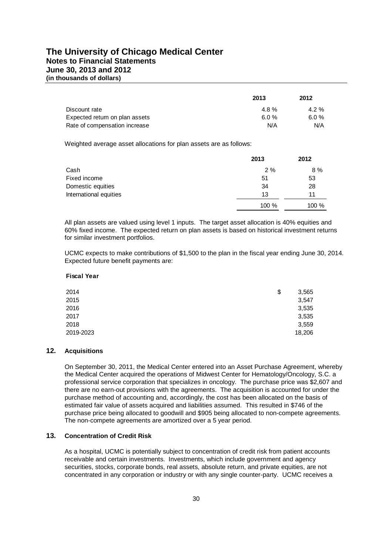|                                | 2013 | 2012    |
|--------------------------------|------|---------|
| Discount rate                  | 4.8% | $4.2\%$ |
| Expected return on plan assets | 6.0% | 6.0 $%$ |
| Rate of compensation increase  | N/A  | N/A     |

Weighted average asset allocations for plan assets are as follows:

|                        | 2013  | 2012  |
|------------------------|-------|-------|
| Cash                   | 2%    | 8%    |
| Fixed income           | 51    | 53    |
| Domestic equities      | 34    | 28    |
| International equities | 13    | 11    |
|                        | 100 % | 100 % |

All plan assets are valued using level 1 inputs. The target asset allocation is 40% equities and 60% fixed income. The expected return on plan assets is based on historical investment returns for similar investment portfolios.

UCMC expects to make contributions of \$1,500 to the plan in the fiscal year ending June 30, 2014. Expected future benefit payments are:

## **Fiscal Year**

| 2014      | \$<br>3,565 |
|-----------|-------------|
| 2015      | 3,547       |
| 2016      | 3,535       |
| 2017      | 3,535       |
| 2018      | 3,559       |
| 2019-2023 | 18,206      |
|           |             |

## **12. Acquisitions**

On September 30, 2011, the Medical Center entered into an Asset Purchase Agreement, whereby the Medical Center acquired the operations of Midwest Center for Hematology/Oncology, S.C. a professional service corporation that specializes in oncology. The purchase price was \$2,607 and there are no earn-out provisions with the agreements. The acquisition is accounted for under the purchase method of accounting and, accordingly, the cost has been allocated on the basis of estimated fair value of assets acquired and liabilities assumed. This resulted in \$746 of the purchase price being allocated to goodwill and \$905 being allocated to non-compete agreements. The non-compete agreements are amortized over a 5 year period.

## **13. Concentration of Credit Risk**

As a hospital, UCMC is potentially subject to concentration of credit risk from patient accounts receivable and certain investments. Investments, which include government and agency securities, stocks, corporate bonds, real assets, absolute return, and private equities, are not concentrated in any corporation or industry or with any single counter-party. UCMC receives a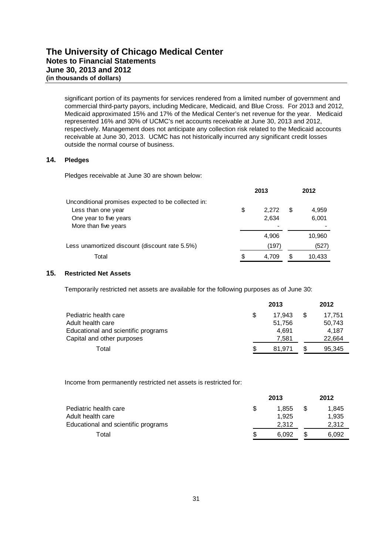significant portion of its payments for services rendered from a limited number of government and commercial third-party payors, including Medicare, Medicaid, and Blue Cross. For 2013 and 2012, Medicaid approximated 15% and 17% of the Medical Center's net revenue for the year. Medicaid represented 16% and 30% of UCMC's net accounts receivable at June 30, 2013 and 2012, respectively. Management does not anticipate any collection risk related to the Medicaid accounts receivable at June 30, 2013. UCMC has not historically incurred any significant credit losses outside the normal course of business.

## **14. Pledges**

Pledges receivable at June 30 are shown below:

|                                                     | 2013        |    | 2012   |  |  |
|-----------------------------------------------------|-------------|----|--------|--|--|
| Unconditional promises expected to be collected in: |             |    |        |  |  |
| Less than one year                                  | \$<br>2.272 | \$ | 4.959  |  |  |
| One year to five years                              | 2,634       |    | 6,001  |  |  |
| More than five years                                |             |    |        |  |  |
|                                                     | 4.906       |    | 10,960 |  |  |
| Less unamortized discount (discount rate 5.5%)      | (197)       |    | (527)  |  |  |
| Total                                               | \$<br>4.709 |    | 10,433 |  |  |

## **15. Restricted Net Assets**

Temporarily restricted net assets are available for the following purposes as of June 30:

|                                     |     | 2013   |   | 2012   |
|-------------------------------------|-----|--------|---|--------|
| Pediatric health care               | \$. | 17.943 | S | 17.751 |
| Adult health care                   |     | 51.756 |   | 50,743 |
| Educational and scientific programs |     | 4.691  |   | 4.187  |
| Capital and other purposes          |     | 7.581  |   | 22,664 |
| Total                               | S   | 81.971 |   | 95.345 |

Income from permanently restricted net assets is restricted for:

|                                     | 2013 |       |  | 2012  |  |  |
|-------------------------------------|------|-------|--|-------|--|--|
| Pediatric health care               | S    | 1.855 |  | 1.845 |  |  |
| Adult health care                   |      | 1.925 |  | 1,935 |  |  |
| Educational and scientific programs |      | 2.312 |  | 2,312 |  |  |
| Гоtal                               |      | 6.092 |  | 6.092 |  |  |